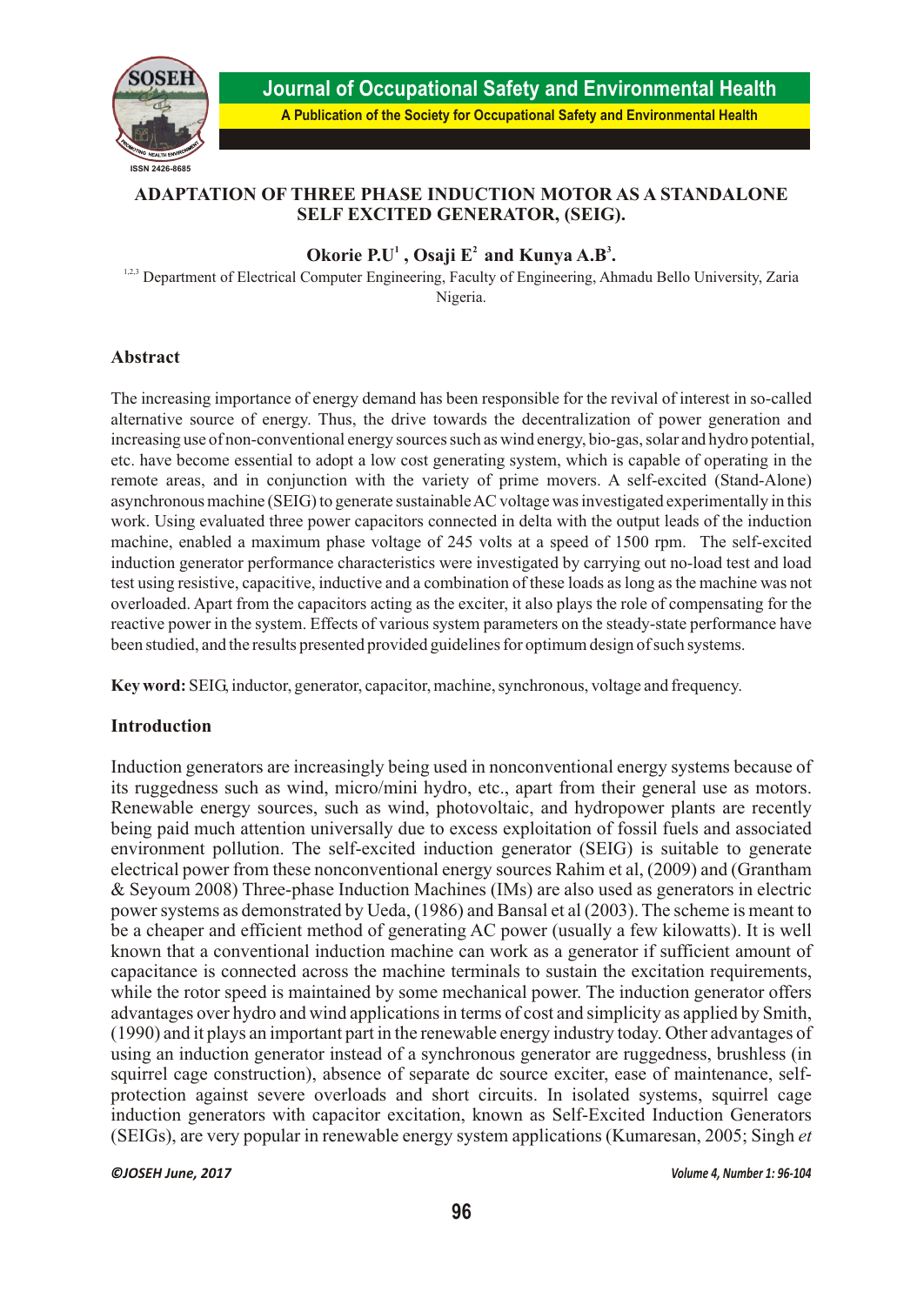

# **ADAPTATION OF THREE PHASE INDUCTION MOTOR AS A STANDALONE SELF EXCITED GENERATOR, (SEIG).**

**Okorie P.U<sup>1</sup>, Osaji**  $E^2$  **and Kunya A.B<sup>3</sup>.** 

<sup>1,2,3</sup> Department of Electrical Computer Engineering, Faculty of Engineering, Ahmadu Bello University, Zaria Nigeria.

# **Abstract**

The increasing importance of energy demand has been responsible for the revival of interest in so-called alternative source of energy. Thus, the drive towards the decentralization of power generation and increasing use of non-conventional energy sources such as wind energy, bio-gas, solar and hydro potential, etc. have become essential to adopt a low cost generating system, which is capable of operating in the remote areas, and in conjunction with the variety of prime movers. A self-excited (Stand-Alone) asynchronous machine (SEIG) to generate sustainable AC voltage was investigated experimentally in this work. Using evaluated three power capacitors connected in delta with the output leads of the induction machine, enabled a maximum phase voltage of 245 volts at a speed of 1500 rpm. The self-excited induction generator performance characteristics were investigated by carrying out no-load test and load test using resistive, capacitive, inductive and a combination of these loads as long as the machine was not overloaded. Apart from the capacitors acting as the exciter, it also plays the role of compensating for the reactive power in the system. Effects of various system parameters on the steady-state performance have been studied, and the results presented provided guidelines for optimum design of such systems.

**Key word:** SEIG, inductor, generator, capacitor, machine, synchronous, voltage and frequency.

## **Introduction**

Induction generators are increasingly being used in nonconventional energy systems because of its ruggedness such as wind, micro/mini hydro, etc., apart from their general use as motors. Renewable energy sources, such as wind, photovoltaic, and hydropower plants are recently being paid much attention universally due to excess exploitation of fossil fuels and associated environment pollution. The self-excited induction generator (SEIG) is suitable to generate electrical power from these nonconventional energy sources Rahim et al, (2009) and (Grantham & Seyoum 2008) Three-phase Induction Machines (IMs) are also used as generators in electric power systems as demonstrated by Ueda, (1986) and Bansal et al (2003). The scheme is meant to be a cheaper and efficient method of generating AC power (usually a few kilowatts). It is well known that a conventional induction machine can work as a generator if sufficient amount of capacitance is connected across the machine terminals to sustain the excitation requirements, while the rotor speed is maintained by some mechanical power. The induction generator offers advantages over hydro and wind applications in terms of cost and simplicity as applied by Smith, (1990) and it plays an important part in the renewable energy industry today. Other advantages of using an induction generator instead of a synchronous generator are ruggedness, brushless (in squirrel cage construction), absence of separate dc source exciter, ease of maintenance, selfprotection against severe overloads and short circuits. In isolated systems, squirrel cage induction generators with capacitor excitation, known as Self-Excited Induction Generators (SEIGs), are very popular in renewable energy system applications (Kumaresan, 2005; Singh *et* 

*©JOSEH June, 2017 Volume 4, Number 1: 96-104*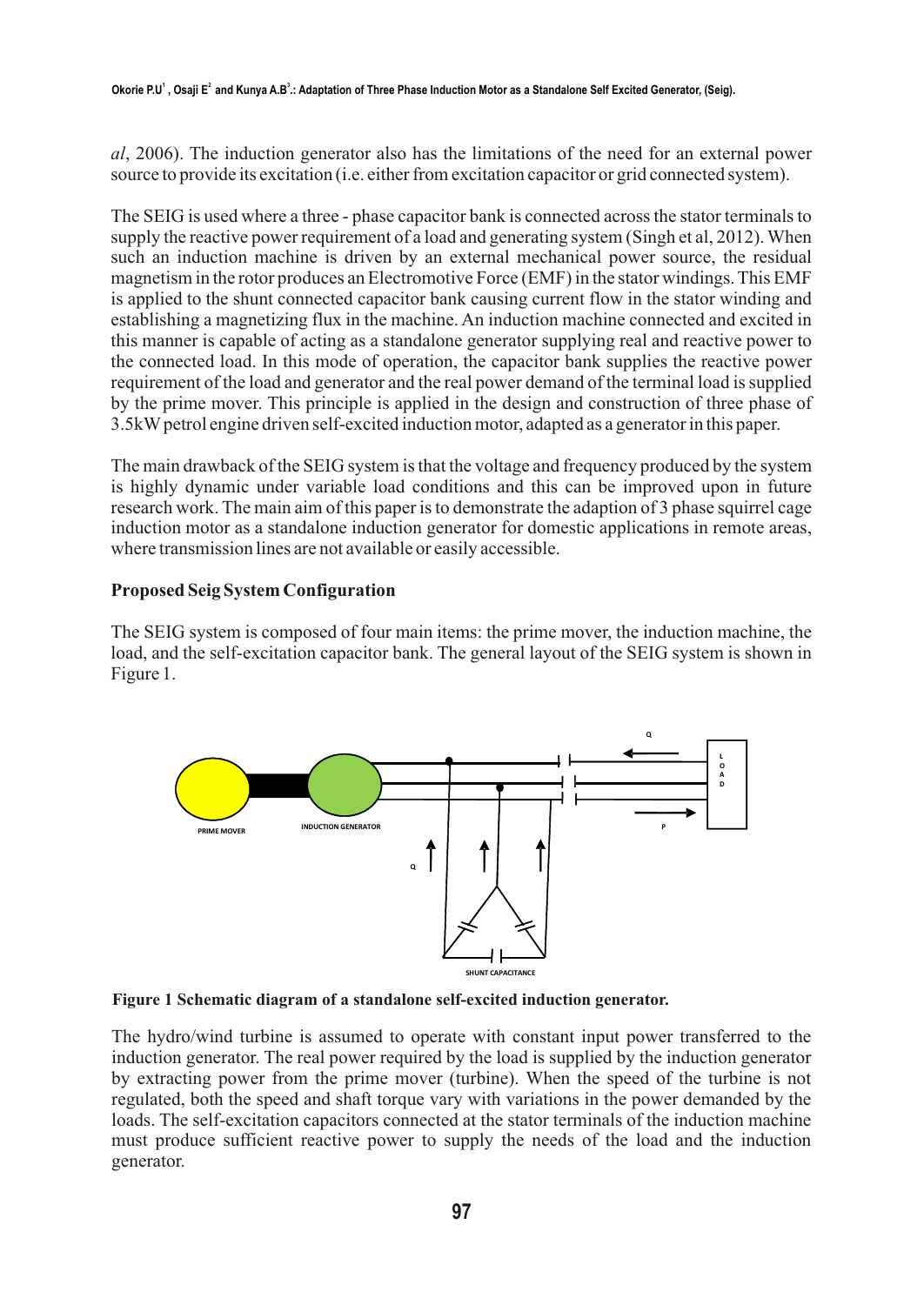*al*, 2006). The induction generator also has the limitations of the need for an external power source to provide its excitation (i.e. either from excitation capacitor or grid connected system).

The SEIG is used where a three - phase capacitor bank is connected across the stator terminals to supply the reactive power requirement of a load and generating system (Singh et al, 2012). When such an induction machine is driven by an external mechanical power source, the residual magnetism in the rotor produces an Electromotive Force (EMF) in the stator windings. This EMF is applied to the shunt connected capacitor bank causing current flow in the stator winding and establishing a magnetizing flux in the machine. An induction machine connected and excited in this manner is capable of acting as a standalone generator supplying real and reactive power to the connected load. In this mode of operation, the capacitor bank supplies the reactive power requirement of the load and generator and the real power demand of the terminal load is supplied by the prime mover. This principle is applied in the design and construction of three phase of 3.5kW petrol engine driven self-excited induction motor, adapted as a generator in this paper.

The main drawback of the SEIG system is that the voltage and frequency produced by the system is highly dynamic under variable load conditions and this can be improved upon in future research work. The main aim of this paper is to demonstrate the adaption of 3 phase squirrel cage induction motor as a standalone induction generator for domestic applications in remote areas, where transmission lines are not available or easily accessible.

## **Proposed Seig System Configuration**

The SEIG system is composed of four main items: the prime mover, the induction machine, the load, and the self-excitation capacitor bank. The general layout of the SEIG system is shown in Figure 1.



**Figure 1 Schematic diagram of a standalone self-excited induction generator.** 

The hydro/wind turbine is assumed to operate with constant input power transferred to the induction generator. The real power required by the load is supplied by the induction generator by extracting power from the prime mover (turbine). When the speed of the turbine is not regulated, both the speed and shaft torque vary with variations in the power demanded by the loads. The self-excitation capacitors connected at the stator terminals of the induction machine must produce sufficient reactive power to supply the needs of the load and the induction generator.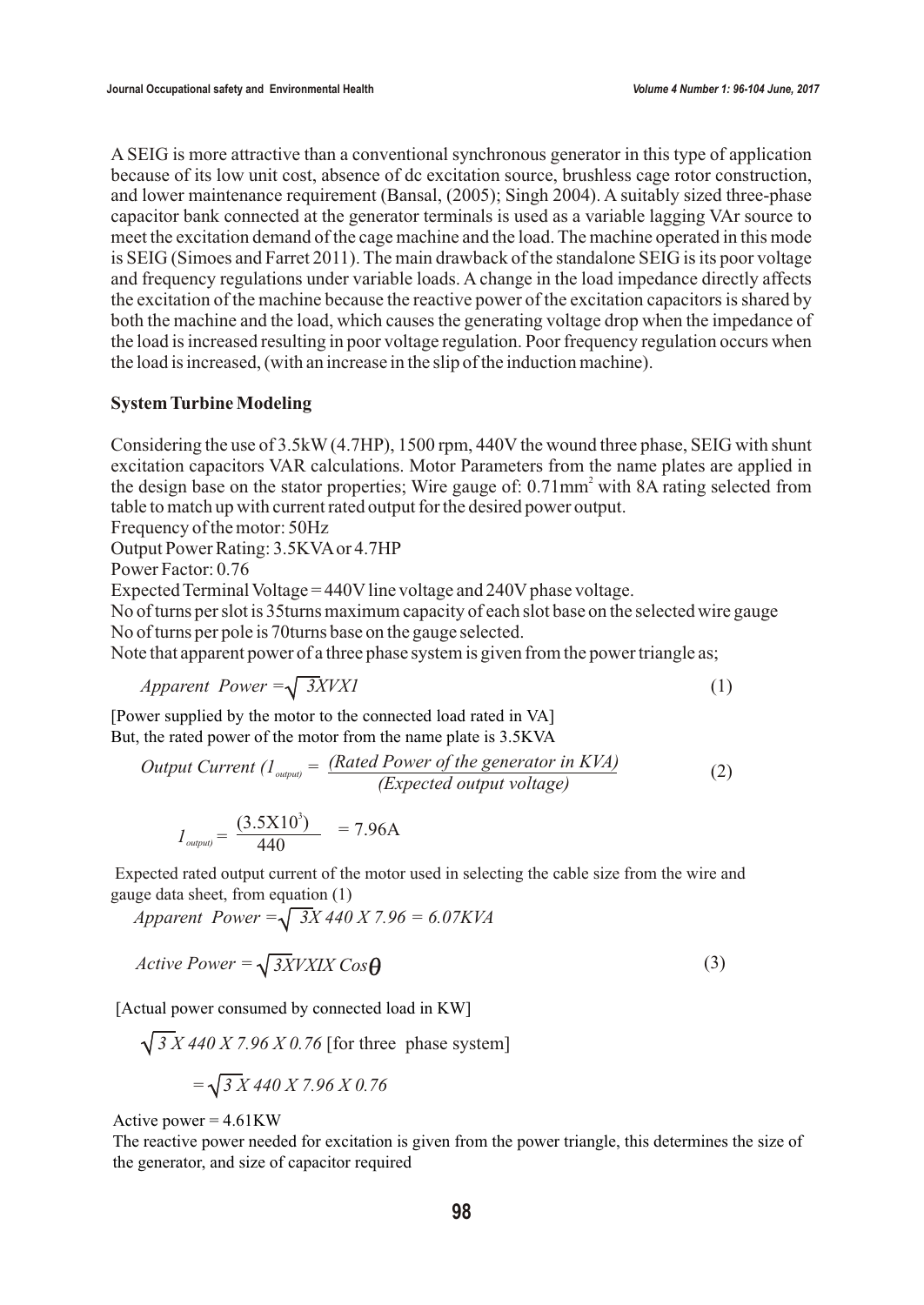A SEIG is more attractive than a conventional synchronous generator in this type of application because of its low unit cost, absence of dc excitation source, brushless cage rotor construction, and lower maintenance requirement (Bansal, (2005); Singh 2004). A suitably sized three-phase capacitor bank connected at the generator terminals is used as a variable lagging VAr source to meet the excitation demand of the cage machine and the load. The machine operated in this mode is SEIG (Simoes and Farret 2011). The main drawback of the standalone SEIG is its poor voltage and frequency regulations under variable loads. A change in the load impedance directly affects the excitation of the machine because the reactive power of the excitation capacitors is shared by both the machine and the load, which causes the generating voltage drop when the impedance of the load is increased resulting in poor voltage regulation. Poor frequency regulation occurs when the load is increased, (with an increase in the slip of the induction machine).

## **System Turbine Modeling**

Considering the use of 3.5kW (4.7HP), 1500 rpm, 440V the wound three phase, SEIG with shunt excitation capacitors VAR calculations. Motor Parameters from the name plates are applied in the design base on the stator properties; Wire gauge of: 0.71mm<sup>2</sup> with 8A rating selected from table to match up with current rated output for the desired power output.

Frequency of the motor: 50Hz

Output Power Rating: 3.5KVA or 4.7HP

Power Factor: 0.76

Expected Terminal Voltage = 440V line voltage and 240V phase voltage.

No of turns per slot is 35turns maximum capacity of each slot base on the selected wire gauge No of turns per pole is 70turns base on the gauge selected.

Note that apparent power of a three phase system is given from the power triangle as;

$$
Apparent Power = \sqrt{3XYX1}
$$
 (1)

[Power supplied by the motor to the connected load rated in VA] But, the rated power of the motor from the name plate is 3.5KVA

Output Current 
$$
(I_{\text{output}} = \frac{\text{(Rated Power of the generator in KVA)}}{\text{(Expected output voltage)}}
$$
 (2)

$$
I_{\text{output}} = \frac{(3.5 \times 10^3)}{440} = 7.96 \text{A}
$$

 Expected rated output current of the motor used in selecting the cable size from the wire and gauge data sheet, from equation (1)

*Apparent Power = 3X 440 X 7.96 = 6.07KVA*

$$
Active Power = \sqrt{3XVXIX \, Cos\Theta} \tag{3}
$$

[Actual power consumed by connected load in KW]

*√3 <i>X* 440 *X* 7.96 *X* 0.76 [for three phase system]

$$
= \sqrt{3 X 440 X 7.96 X 0.76}
$$

Active power = 4.61KW

The reactive power needed for excitation is given from the power triangle, this determines the size of the generator, and size of capacitor required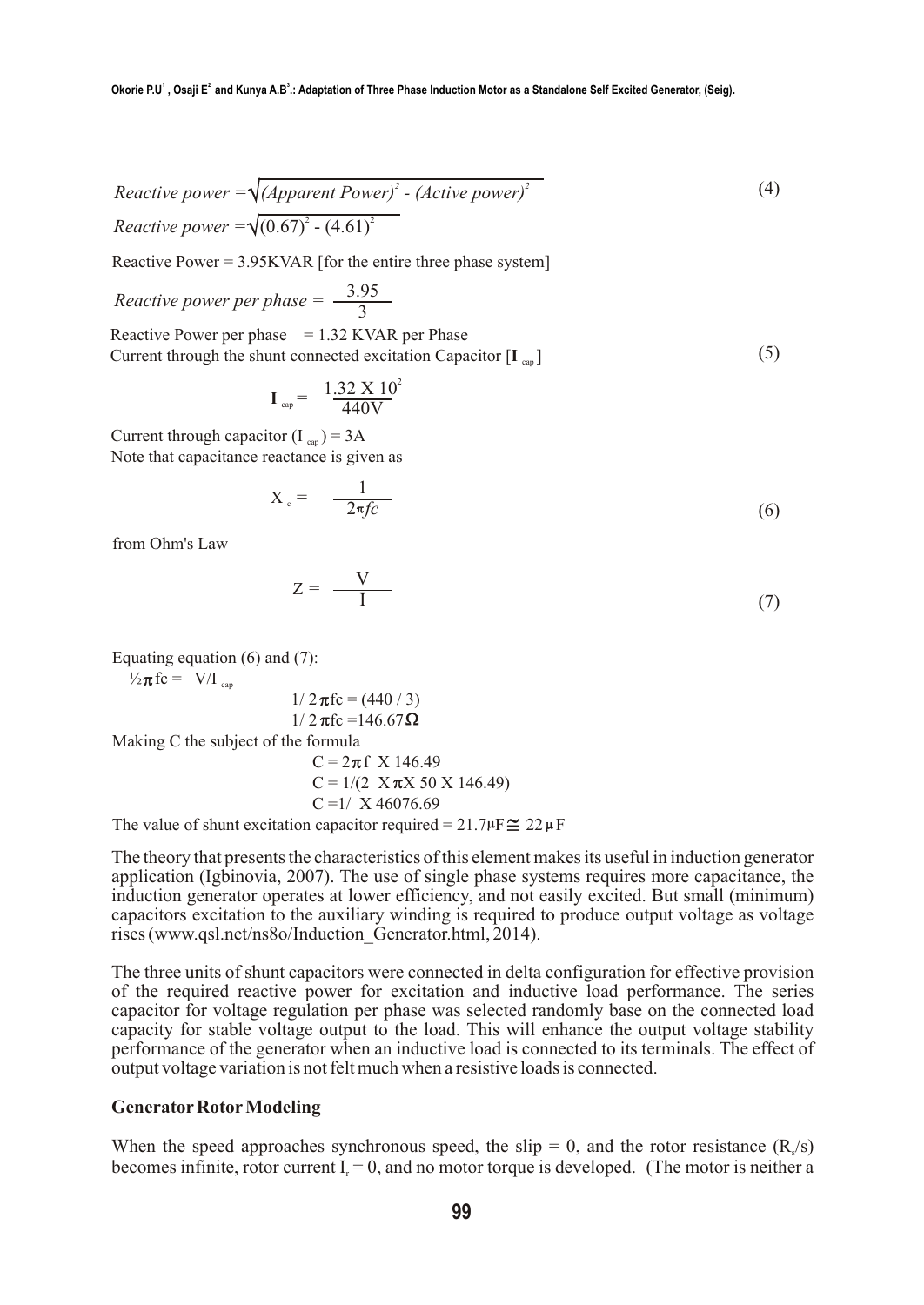$$
Reactive power = \sqrt{(Append power)^2 - (Active power)^2}
$$
\n
$$
Reactive power = \sqrt{(0.67)^2 - (4.61)^2}
$$
\n
$$
(4)
$$

Reactive Power  $= 3.95$ KVAR [for the entire three phase system]

*Reactive power per phase* = 
$$
\frac{3.95}{3}
$$
  
Reactive Power per phase = 1.32 KVAR per Phase  
Current through the shunt connected excitation Capacitor [I<sub>cap</sub>] (5)

$$
\mathbf{I}_{\text{cap}} = \frac{1.32 \times 10^2}{440 \text{V}}
$$

Current through capacitor  $(I_{\text{can}}) = 3A$ Note that capacitance reactance is given as

$$
X_c = \frac{1}{-2\pi f c} \tag{6}
$$

from Ohm's Law

$$
Z = \frac{V}{I} \tag{7}
$$

Equating equation  $(6)$  and  $(7)$ :

$$
\frac{1}{2}\pi \text{fc} = \text{V/I}_{\text{cap}}
$$

$$
1/2 \pi f c = (440 / 3)
$$

$$
1/2 \pi f c = 146.67 \Omega
$$

Making C the subject of the formula

$$
C = 2\pi f \times 146.49
$$
  
\n
$$
C = 1/(2 \times \pi X \times 50 \times 146.49)
$$
  
\n
$$
C = 1/\times 46076.69
$$
  
\nThe value of about no diffusion would be 21.70° $\sqrt{ }$ 

The value of shunt excitation capacitor required =  $21.7 \mu \text{F} \approx 22 \mu \text{F}$ 

The theory that presents the characteristics of this element makes its useful in induction generator application (Igbinovia, 2007). The use of single phase systems requires more capacitance, the induction generator operates at lower efficiency, and not easily excited. But small (minimum) capacitors excitation to the auxiliary winding is required to produce output voltage as voltage rises (www.qsl.net/ns8o/Induction\_Generator.html, 2014).

The three units of shunt capacitors were connected in delta configuration for effective provision of the required reactive power for excitation and inductive load performance. The series capacitor for voltage regulation per phase was selected randomly base on the connected load capacity for stable voltage output to the load. This will enhance the output voltage stability performance of the generator when an inductive load is connected to its terminals. The effect of output voltage variation is not felt much when a resistive loads is connected.

#### **Generator Rotor Modeling**

When the speed approaches synchronous speed, the slip = 0, and the rotor resistance  $(R/s)$ becomes infinite, rotor current  $I = 0$ , and no motor torque is developed. (The motor is neither a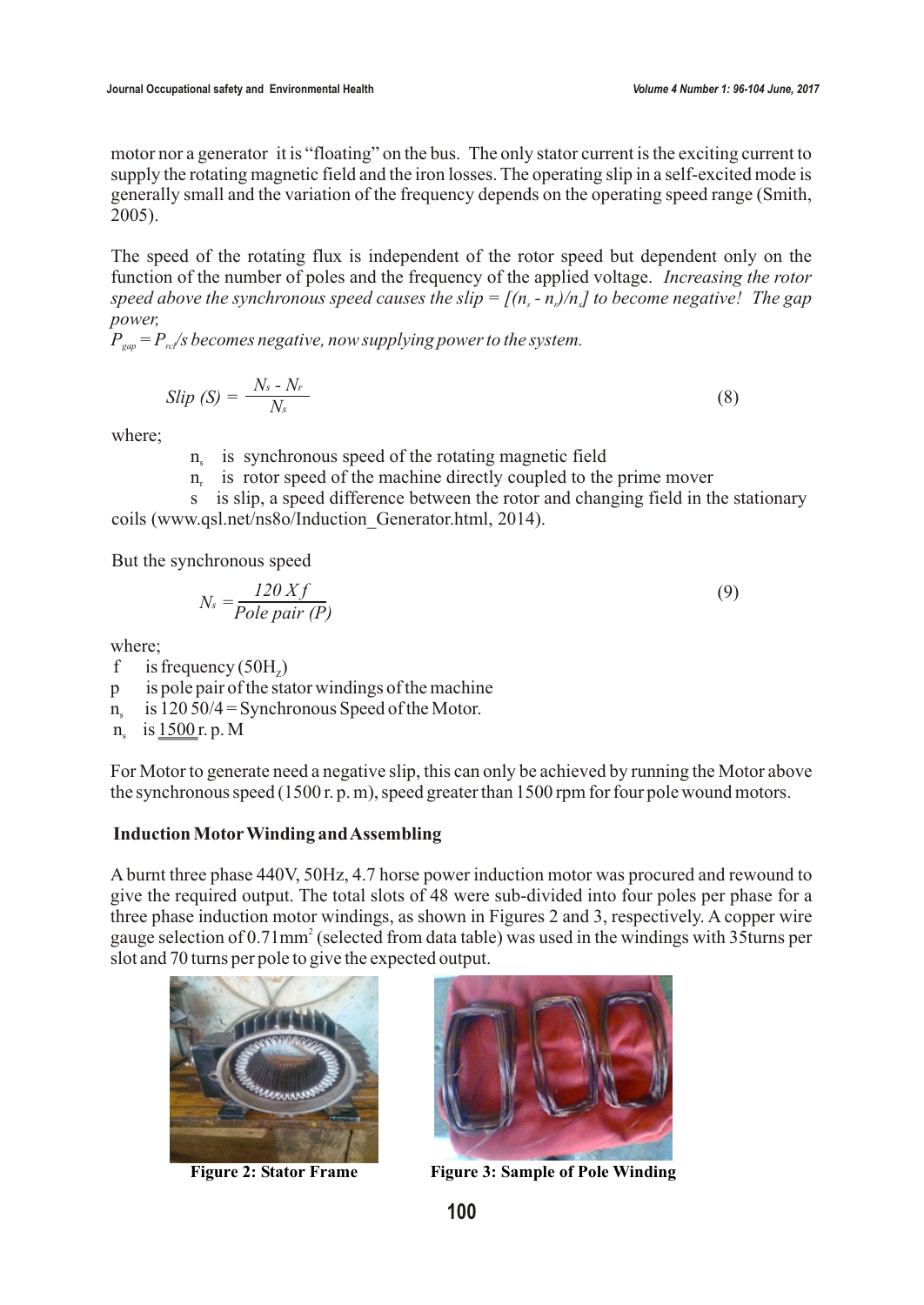(9)

motor nor a generator it is "floating" on the bus. The only stator current is the exciting current to supply the rotating magnetic field and the iron losses. The operating slip in a self-excited mode is generally small and the variation of the frequency depends on the operating speed range (Smith, 2005).

The speed of the rotating flux is independent of the rotor speed but dependent only on the function of the number of poles and the frequency of the applied voltage. *Increasing the rotor speed above the synchronous speed causes the slip =*  $[(n - n)/n]$  *to become negative! The gap power,* 

 $\hat{P}_{\text{gap}} = P_{\text{ref}}/s$  becomes negative, now supplying power to the system.

$$
Slip\left(\mathcal{S}\right)=\frac{N_{s}-N_{r}}{N_{s}}\tag{8}
$$

where;

- n<sub>s</sub> is synchronous speed of the rotating magnetic field
	- n, is rotor speed of the machine directly coupled to the prime mover

 s is slip, a speed difference between the rotor and changing field in the stationary coils (www.qsl.net/ns8o/Induction\_Generator.html, 2014).

But the synchronous speed

$$
N_s = \frac{120\,Xf}{Pole\,\,pair\,\,(P)}
$$

where;

- f is frequency (50H<sub>z</sub>)
- p is pole pair of the stator windings of the machine
- $n_s$  is 120 50/4 = Synchronous Speed of the Motor.
- $n_s$  is  $1500r$ . p. M

For Motor to generate need a negative slip, this can only be achieved by running the Motor above the synchronous speed (1500 r. p. m), speed greater than 1500 rpm for four pole wound motors.

## **Induction MotorWinding and Assembling**

A burnt three phase 440V, 50Hz, 4.7 horse power induction motor was procured and rewound to give the required output. The total slots of 48 were sub-divided into four poles per phase for a three phase induction motor windings, as shown in Figures 2 and 3, respectively. A copper wire gauge selection of 0.71mm<sup>2</sup> (selected from data table) was used in the windings with 35turns per slot and 70 turns per pole to give the expected output.





**Figure 2: Stator Frame Figure 3: Sample of Pole Winding**

**100**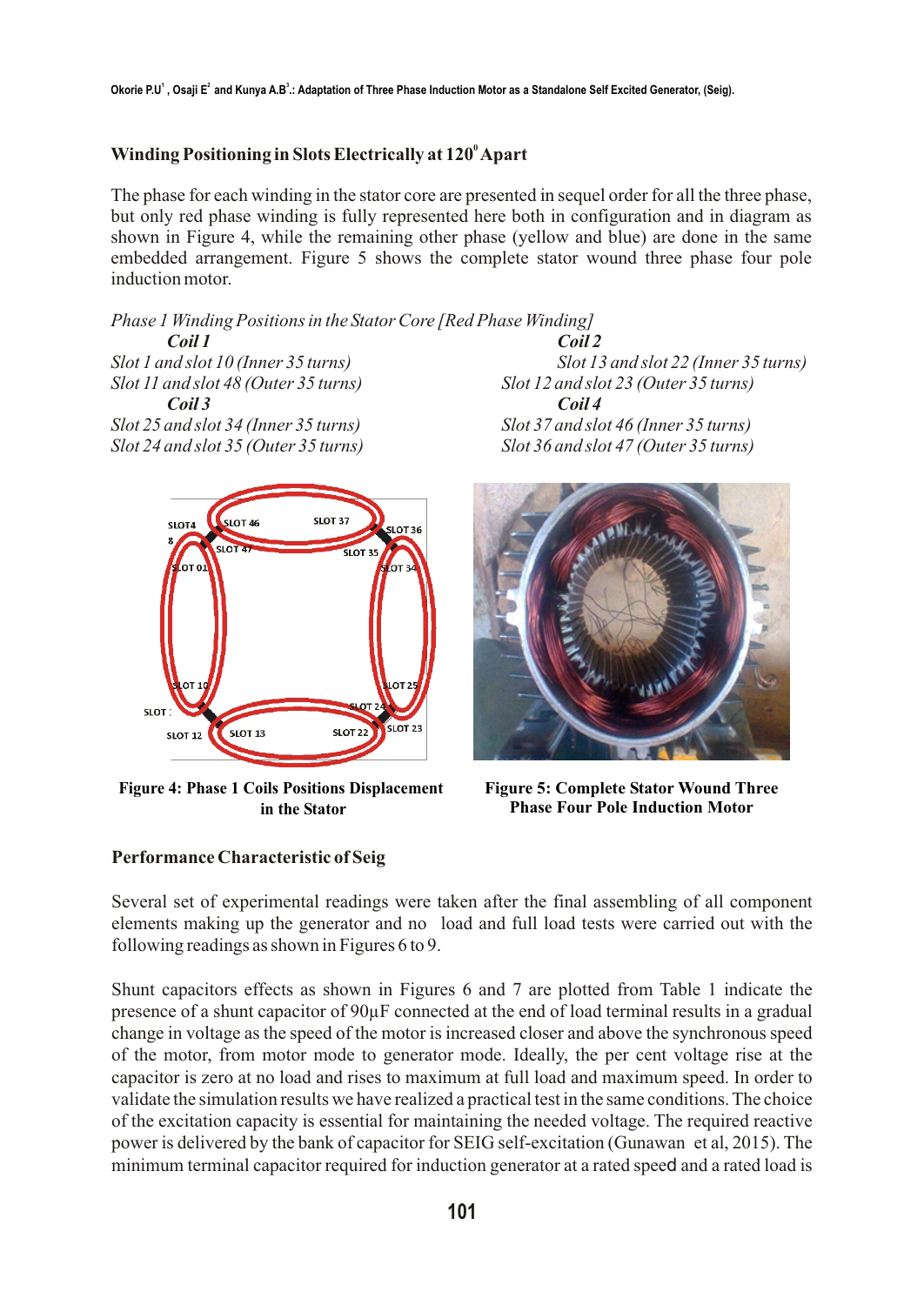# **<sup>0</sup> Winding Positioning in Slots Electrically at 120 Apart**

The phase for each winding in the stator core are presented in sequel order for all the three phase, but only red phase winding is fully represented here both in configuration and in diagram as shown in Figure 4, while the remaining other phase (yellow and blue) are done in the same embedded arrangement. Figure 5 shows the complete stator wound three phase four pole induction motor.

*Phase 1 Winding Positions in the Stator Core [Red Phase Winding]*

*Coil 1 Coil 2 Slot 11 and slot 48 (Outer 35 turns) Slot 12 and slot 23 (Outer 35 turns) Coil 3 Coil 4 Slot 25 and slot 34 (Inner 35 turns) Slot 37 and slot 46 (Inner 35 turns)*



**Figure 4: Phase 1 Coils Positions Displacement in the Stator**

**Performance Characteristic of Seig**

*Slot 1 and slot 10 (Inner 35 turns) Slot 13 and slot 22 (Inner 35 turns) Slot 24 and slot 35 (Outer 35 turns) Slot 36 and slot 47 (Outer 35 turns)*



**Figure 5: Complete Stator Wound Three Phase Four Pole Induction Motor**

Several set of experimental readings were taken after the final assembling of all component elements making up the generator and no load and full load tests were carried out with the following readings as shown in Figures 6 to 9.

Shunt capacitors effects as shown in Figures 6 and 7 are plotted from Table 1 indicate the presence of a shunt capacitor of 90µF connected at the end of load terminal results in a gradual change in voltage as the speed of the motor is increased closer and above the synchronous speed of the motor, from motor mode to generator mode. Ideally, the per cent voltage rise at the capacitor is zero at no load and rises to maximum at full load and maximum speed. In order to validate the simulation results we have realized a practical test in the same conditions. The choice of the excitation capacity is essential for maintaining the needed voltage. The required reactive power is delivered by the bank of capacitor for SEIG self-excitation (Gunawan et al, 2015). The minimum terminal capacitor required for induction generator at a rated speed and a rated load is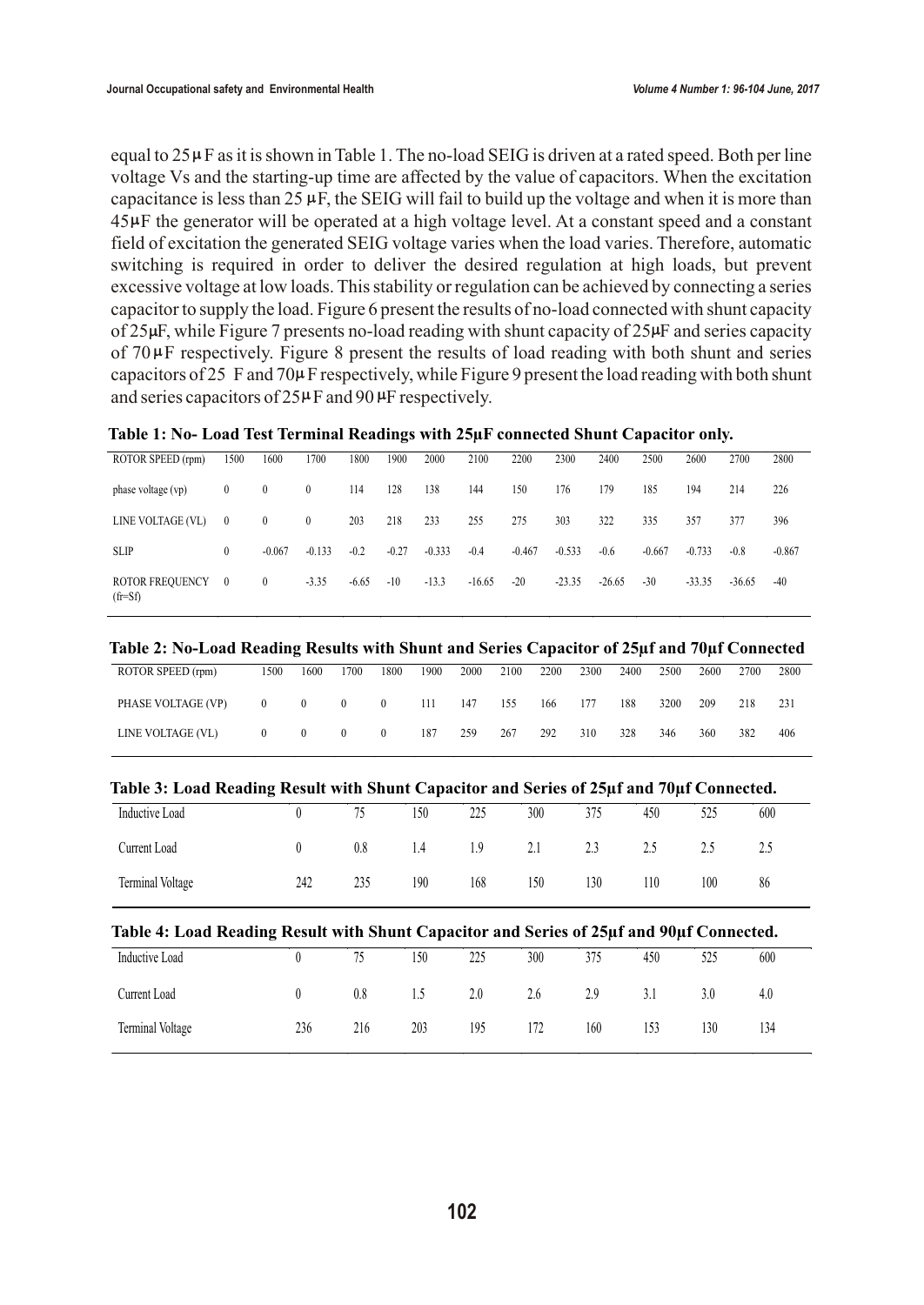equal to  $25 \mu$ F as it is shown in Table 1. The no-load SEIG is driven at a rated speed. Both per line voltage Vs and the starting-up time are affected by the value of capacitors. When the excitation capacitance is less than  $25 \mu$ F, the SEIG will fail to build up the voltage and when it is more than 45 $\mu$ F the generator will be operated at a high voltage level. At a constant speed and a constant field of excitation the generated SEIG voltage varies when the load varies. Therefore, automatic switching is required in order to deliver the desired regulation at high loads, but prevent excessive voltage at low loads. This stability or regulation can be achieved by connecting a series capacitor to supply the load. Figure 6 present the results of no-load connected with shunt capacity of  $25\mu$ F, while Figure 7 presents no-load reading with shunt capacity of  $25\mu$ F and series capacity of  $70 \mu$ F respectively. Figure 8 present the results of load reading with both shunt and series capacitors of 25 F and 70 $\mu$ F respectively, while Figure 9 present the load reading with both shunt and series capacitors of  $25\mu$ F and 90  $\mu$ F respectively.

|  |  | Table 1: No- Load Test Terminal Readings with 25µF connected Shunt Capacitor only. |
|--|--|------------------------------------------------------------------------------------|
|  |  |                                                                                    |

| ROTOR SPEED (rpm)             | 1500           | 1600         | 1700         | 1800    | 1900    | 2000     | 2100     | 2200     | 2300     | 2400     | 2500     | 2600     | 2700     | 2800     |
|-------------------------------|----------------|--------------|--------------|---------|---------|----------|----------|----------|----------|----------|----------|----------|----------|----------|
| phase voltage (vp)            | $\mathbf{0}$   | $\mathbf{0}$ | $\mathbf{0}$ | 114     | 128     | 138      | 144      | 150      | 176      | 179      | 185      | 194      | 214      | 226      |
| LINE VOLTAGE (VL)             | $\mathbf{0}$   | $\mathbf{0}$ | $\mathbf{0}$ | 203     | 218     | 233      | 255      | 275      | 303      | 322      | 335      | 357      | 377      | 396      |
| <b>SLIP</b>                   | $\theta$       | $-0.067$     | $-0.133$     | $-0.2$  | $-0.27$ | $-0.333$ | $-0.4$   | $-0.467$ | $-0.533$ | $-0.6$   | $-0.667$ | $-0.733$ | $-0.8$   | $-0.867$ |
| ROTOR FREQUENCY<br>$(f = Sf)$ | $\overline{0}$ | $\mathbf{0}$ | $-3.35$      | $-6.65$ | $-10$   | $-13.3$  | $-16.65$ | $-20$    | $-23.35$ | $-26.65$ | $-30$    | $-33.35$ | $-36.65$ | $-40$    |

### **Table 2: No-Load Reading Results with Shunt and Series Capacitor of 25µf and 70µf Connected**

| ROTOR SPEED (rpm)  | 1500     | 1600     | 1700     | 1800     | 1900 | 2000 | 2100 | 2200 | 2300 | 2400 | 2500 | 2600 | 2700 | 2800 |
|--------------------|----------|----------|----------|----------|------|------|------|------|------|------|------|------|------|------|
| PHASE VOLTAGE (VP) | $\theta$ | $\left($ | $\theta$ | $\theta$ | 111  | 147  | 155  | 166  | 177  | 188  | 3200 | 209  | 218  | 231  |
| LINE VOLTAGE (VL)  | $\theta$ | $\theta$ | $\theta$ | $\theta$ | 187  | 259  | 267  | 292  | 310  | 328  | 346  | 360  | 382  | 406  |

| Table 3: Load Reading Result with Shunt Capacitor and Series of 25µf and 70µf Connected. |  |  |
|------------------------------------------------------------------------------------------|--|--|
|                                                                                          |  |  |

| Inductive Load   |     | 75  | 150 | 225 | 300 | 375 | 450 | 525    | 600    |
|------------------|-----|-----|-----|-----|-----|-----|-----|--------|--------|
| Current Load     |     | 0.8 | 1.4 | 1.9 | 2.1 | 2.3 | ن ر | ل دیکھ | ل دیکھ |
| Terminal Voltage | 242 | 235 | 190 | 168 | 150 | 130 | 110 | 100    | 86     |

| Table 4: Load Reading Result with Shunt Capacitor and Series of 25µf and 90µf Connected. |                                 |     |     |     |                         |     |     |     |     |
|------------------------------------------------------------------------------------------|---------------------------------|-----|-----|-----|-------------------------|-----|-----|-----|-----|
| Inductive Load                                                                           |                                 | 75  | 150 | 225 | 300                     | 375 | 450 | 525 | 600 |
| Current Load                                                                             | $\begin{matrix} 0 \end{matrix}$ |     |     |     | 0.8 1.5 2.0 2.6 2.9 3.1 |     |     | 3.0 | 4.0 |
| Terminal Voltage                                                                         | 236                             | 216 | 203 |     | 195 172                 | 160 | 153 | 130 | 134 |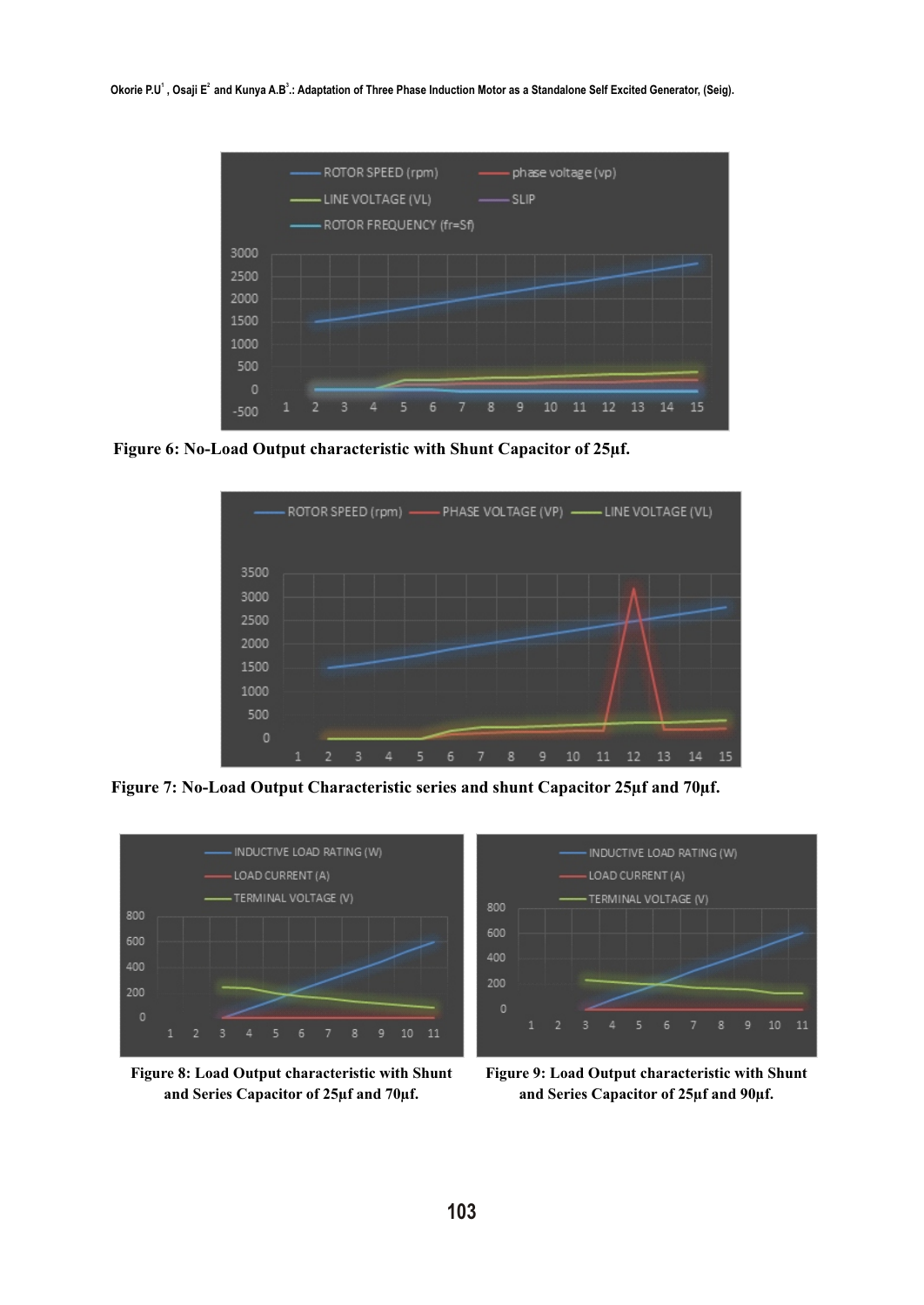Okorie P.U<sup>1</sup>, Osaji E<sup>2</sup> and Kunya A.B<sup>3</sup>.: Adaptation of Three Phase Induction Motor as a Standalone Self Excited Generator, (Seig).



**Figure 6: No-Load Output characteristic with Shunt Capacitor of 25µf.** 



**Figure 7: No-Load Output Characteristic series and shunt Capacitor 25µf and 70µf.**



**Figure 8: Load Output characteristic with Shunt and Series Capacitor of 25µf and 70µf.**



**Figure 9: Load Output characteristic with Shunt and Series Capacitor of 25µf and 90µf.**